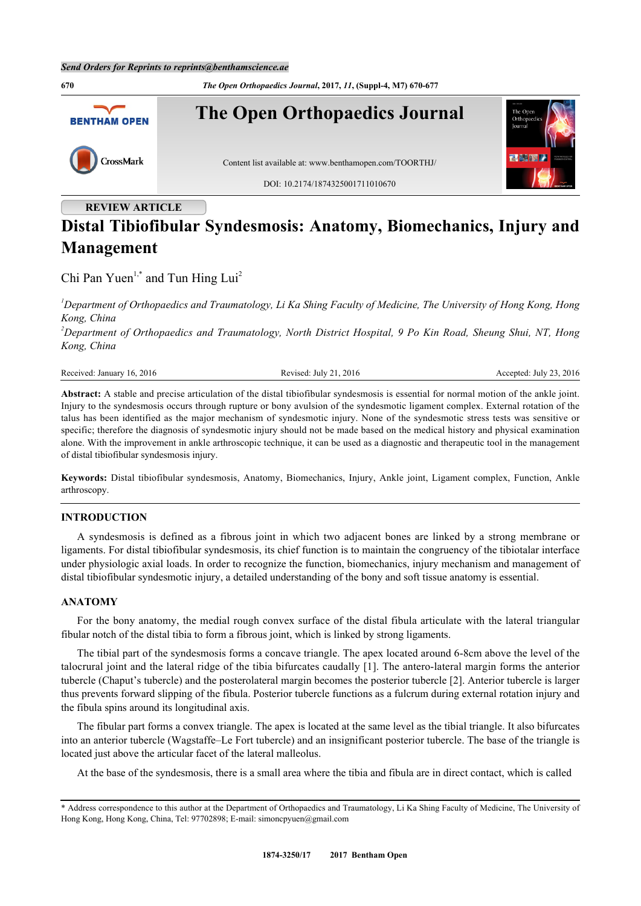

# **Distal Tibiofibular Syndesmosis: Anatomy, Biomechanics, Injury and Management**

Chi Pan Yuen<sup>[1](#page-0-0),\*</sup> and Tun Hing Lui<sup>[2](#page-0-1)</sup>

<span id="page-0-0"></span>*<sup>1</sup>Department of Orthopaedics and Traumatology, Li Ka Shing Faculty of Medicine, The University of Hong Kong, Hong Kong, China*

<span id="page-0-1"></span>*<sup>2</sup>Department of Orthopaedics and Traumatology, North District Hospital, 9 Po Kin Road, Sheung Shui, NT, Hong Kong, China*

Received: January 16, 2016 Revised: July 21, 2016 Revised: July 21, 2016 Accepted: July 23, 2016

**Abstract:** A stable and precise articulation of the distal tibiofibular syndesmosis is essential for normal motion of the ankle joint. Injury to the syndesmosis occurs through rupture or bony avulsion of the syndesmotic ligament complex. External rotation of the talus has been identified as the major mechanism of syndesmotic injury. None of the syndesmotic stress tests was sensitive or specific; therefore the diagnosis of syndesmotic injury should not be made based on the medical history and physical examination alone. With the improvement in ankle arthroscopic technique, it can be used as a diagnostic and therapeutic tool in the management of distal tibiofibular syndesmosis injury.

**Keywords:** Distal tibiofibular syndesmosis, Anatomy, Biomechanics, Injury, Ankle joint, Ligament complex, Function, Ankle arthroscopy.

# **INTRODUCTION**

A syndesmosis is defined as a fibrous joint in which two adjacent bones are linked by a strong membrane or ligaments. For distal tibiofibular syndesmosis, its chief function is to maintain the congruency of the tibiotalar interface under physiologic axial loads. In order to recognize the function, biomechanics, injury mechanism and management of distal tibiofibular syndesmotic injury, a detailed understanding of the bony and soft tissue anatomy is essential.

#### **ANATOMY**

For the bony anatomy, the medial rough convex surface of the distal fibula articulate with the lateral triangular fibular notch of the distal tibia to form a fibrous joint, which is linked by strong ligaments.

The tibial part of the syndesmosis forms a concave triangle. The apex located around 6-8cm above the level of the talocrural joint and the lateral ridge of the tibia bifurcates caudally [[1](#page-4-0)]. The antero-lateral margin forms the anterior tubercle (Chaput's tubercle) and the posterolateral margin becomes the posterior tubercle [\[2](#page-4-1)]. Anterior tubercle is larger thus prevents forward slipping of the fibula. Posterior tubercle functions as a fulcrum during external rotation injury and the fibula spins around its longitudinal axis.

The fibular part forms a convex triangle. The apex is located at the same level as the tibial triangle. It also bifurcates into an anterior tubercle (Wagstaffe–Le Fort tubercle) and an insignificant posterior tubercle. The base of the triangle is located just above the articular facet of the lateral malleolus.

At the base of the syndesmosis, there is a small area where the tibia and fibula are in direct contact, which is called

<sup>\*</sup> Address correspondence to this author at the Department of Orthopaedics and Traumatology, Li Ka Shing Faculty of Medicine, The University of Hong Kong, Hong Kong, China, Tel: 97702898; E-mail: [simoncpyuen@gmail.com](mailto:simoncpyuen@gmail.com)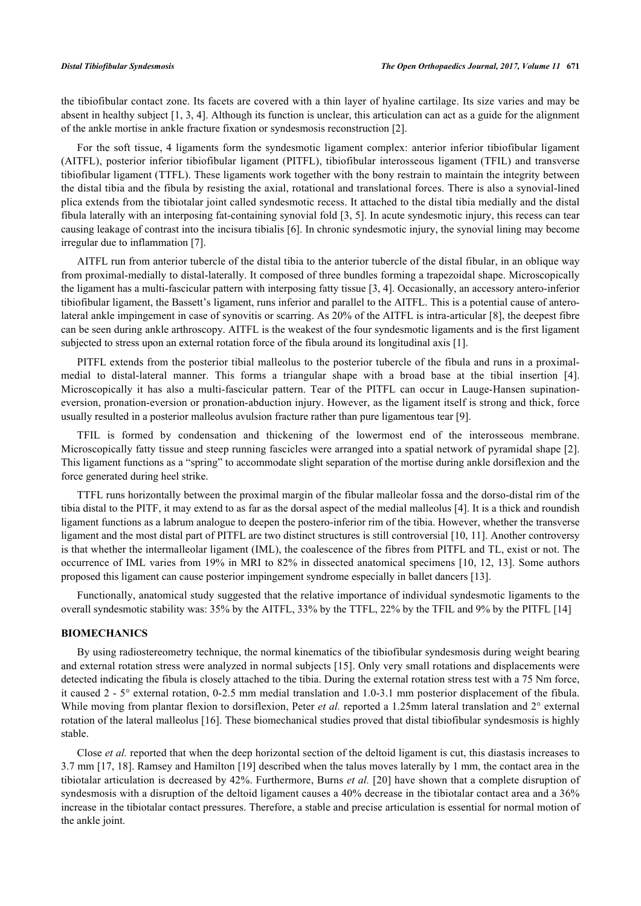the tibiofibular contact zone. Its facets are covered with a thin layer of hyaline cartilage. Its size varies and may be absent in healthy subject [\[1](#page-4-0), [3](#page-4-2), [4\]](#page-4-3). Although its function is unclear, this articulation can act as a guide for the alignment of the ankle mortise in ankle fracture fixation or syndesmosis reconstruction [\[2](#page-4-1)].

For the soft tissue, 4 ligaments form the syndesmotic ligament complex: anterior inferior tibiofibular ligament (AITFL), posterior inferior tibiofibular ligament (PITFL), tibiofibular interosseous ligament (TFIL) and transverse tibiofibular ligament (TTFL). These ligaments work together with the bony restrain to maintain the integrity between the distal tibia and the fibula by resisting the axial, rotational and translational forces. There is also a synovial-lined plica extends from the tibiotalar joint called syndesmotic recess. It attached to the distal tibia medially and the distal fibula laterally with an interposing fat-containing synovial fold [[3,](#page-4-2) [5\]](#page-4-4). In acute syndesmotic injury, this recess can tear causing leakage of contrast into the incisura tibialis [\[6](#page-4-5)]. In chronic syndesmotic injury, the synovial lining may become irregular due to inflammation [[7\]](#page-4-6).

AITFL run from anterior tubercle of the distal tibia to the anterior tubercle of the distal fibular, in an oblique way from proximal-medially to distal-laterally. It composed of three bundles forming a trapezoidal shape. Microscopically the ligament has a multi-fascicular pattern with interposing fatty tissue [[3,](#page-4-2) [4\]](#page-4-3). Occasionally, an accessory antero-inferior tibiofibular ligament, the Bassett's ligament, runs inferior and parallel to the AITFL. This is a potential cause of anterolateral ankle impingement in case of synovitis or scarring. As 20% of the AITFL is intra-articular [[8](#page-4-7)], the deepest fibre can be seen during ankle arthroscopy. AITFL is the weakest of the four syndesmotic ligaments and is the first ligament subjected to stress upon an external rotation force of the fibula around its longitudinal axis [\[1](#page-4-0)].

PITFL extends from the posterior tibial malleolus to the posterior tubercle of the fibula and runs in a proximalmedial to distal-lateral manner. This forms a triangular shape with a broad base at the tibial insertion[[4\]](#page-4-3). Microscopically it has also a multi-fascicular pattern. Tear of the PITFL can occur in Lauge-Hansen supinationeversion, pronation-eversion or pronation-abduction injury. However, as the ligament itself is strong and thick, force usually resulted in a posterior malleolus avulsion fracture rather than pure ligamentous tear [[9\]](#page-4-8).

TFIL is formed by condensation and thickening of the lowermost end of the interosseous membrane. Microscopically fatty tissue and steep running fascicles were arranged into a spatial network of pyramidal shape [[2\]](#page-4-1). This ligament functions as a "spring" to accommodate slight separation of the mortise during ankle dorsiflexion and the force generated during heel strike.

TTFL runs horizontally between the proximal margin of the fibular malleolar fossa and the dorso-distal rim of the tibia distal to the PITF, it may extend to as far as the dorsal aspect of the medial malleolus [\[4](#page-4-3)]. It is a thick and roundish ligament functions as a labrum analogue to deepen the postero-inferior rim of the tibia. However, whether the transverse ligament and the most distal part of PITFL are two distinct structures is still controversial [\[10](#page-4-9), [11](#page-4-10)]. Another controversy is that whether the intermalleolar ligament (IML), the coalescence of the fibres from PITFL and TL, exist or not. The occurrence of IML varies from 19% in MRI to 82% in dissected anatomical specimens [[10](#page-4-9), [12](#page-4-11), [13](#page-5-0)]. Some authors proposed this ligament can cause posterior impingement syndrome especially in ballet dancers [[13\]](#page-5-0).

Functionally, anatomical study suggested that the relative importance of individual syndesmotic ligaments to the overall syndesmotic stability was: 35% by the AITFL, 33% by the TTFL, 22% by the TFIL and 9% by the PITFL [\[14](#page-5-1)]

#### **BIOMECHANICS**

By using radiostereometry technique, the normal kinematics of the tibiofibular syndesmosis during weight bearing and external rotation stress were analyzed in normal subjects [[15\]](#page-5-2). Only very small rotations and displacements were detected indicating the fibula is closely attached to the tibia. During the external rotation stress test with a 75 Nm force, it caused 2 - 5° external rotation, 0-2.5 mm medial translation and 1.0-3.1 mm posterior displacement of the fibula. While moving from plantar flexion to dorsiflexion, Peter *et al.* reported a 1.25mm lateral translation and 2° external rotation of the lateral malleolus [\[16](#page-5-3)]. These biomechanical studies proved that distal tibiofibular syndesmosis is highly stable.

Close *et al.* reported that when the deep horizontal section of the deltoid ligament is cut, this diastasis increases to 3.7 mm [[17,](#page-5-4) [18](#page-5-5)]. Ramsey and Hamilton [\[19](#page-5-6)] described when the talus moves laterally by 1 mm, the contact area in the tibiotalar articulation is decreased by 42%. Furthermore, Burns *et al.* [[20](#page-5-7)] have shown that a complete disruption of syndesmosis with a disruption of the deltoid ligament causes a 40% decrease in the tibiotalar contact area and a 36% increase in the tibiotalar contact pressures. Therefore, a stable and precise articulation is essential for normal motion of the ankle joint.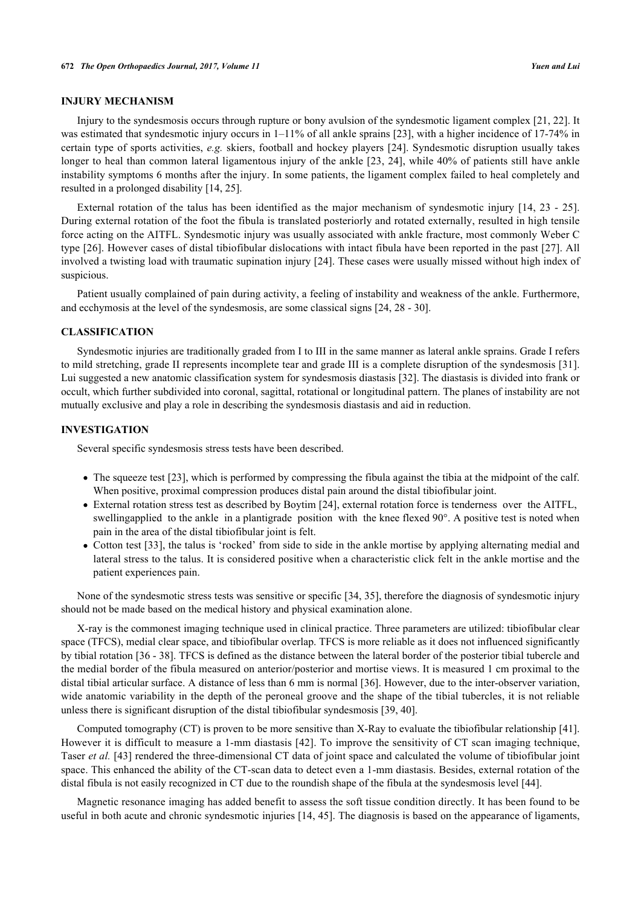# **INJURY MECHANISM**

Injury to the syndesmosis occurs through rupture or bony avulsion of the syndesmotic ligament complex [[21,](#page-5-8) [22](#page-5-9)]. It was estimated that syndesmotic injury occurs in 1–11% of all ankle sprains [[23\]](#page-5-10), with a higher incidence of 17-74% in certain type of sports activities, *e.g.* skiers, football and hockey players [[24\]](#page-5-11). Syndesmotic disruption usually takes longer to heal than common lateral ligamentous injury of the ankle [\[23,](#page-5-10) [24\]](#page-5-11), while 40% of patients still have ankle instability symptoms 6 months after the injury. In some patients, the ligament complex failed to heal completely and resulted in a prolonged disability [\[14](#page-5-1), [25](#page-5-12)].

External rotation of the talus has been identified as the major mechanism of syndesmotic injury [[14](#page-5-1), [23](#page-5-10) - [25\]](#page-5-12). During external rotation of the foot the fibula is translated posteriorly and rotated externally, resulted in high tensile force acting on the AITFL. Syndesmotic injury was usually associated with ankle fracture, most commonly Weber C type [[26\]](#page-5-13). However cases of distal tibiofibular dislocations with intact fibula have been reported in the past [\[27\]](#page-5-14). All involved a twisting load with traumatic supination injury [[24](#page-5-11)]. These cases were usually missed without high index of suspicious.

Patient usually complained of pain during activity, a feeling of instability and weakness of the ankle. Furthermore, and ecchymosis at the level of the syndesmosis, are some classical signs [\[24](#page-5-11), [28](#page-5-15) - [30\]](#page-5-16).

#### **CLASSIFICATION**

Syndesmotic injuries are traditionally graded from I to III in the same manner as lateral ankle sprains. Grade I refers to mild stretching, grade II represents incomplete tear and grade III is a complete disruption of the syndesmosis [\[31\]](#page-5-17). Lui suggested a new anatomic classification system for syndesmosis diastasis [[32\]](#page-5-18). The diastasis is divided into frank or occult, which further subdivided into coronal, sagittal, rotational or longitudinal pattern. The planes of instability are not mutually exclusive and play a role in describing the syndesmosis diastasis and aid in reduction.

# **INVESTIGATION**

Several specific syndesmosis stress tests have been described.

- The squeeze test [\[23](#page-5-10)], which is performed by compressing the fibula against the tibia at the midpoint of the calf. When positive, proximal compression produces distal pain around the distal tibiofibular joint.
- External rotation stress test as described by Boytim [[24\]](#page-5-11), external rotation force is tenderness over the AITFL, swellingapplied to the ankle in a plantigrade position with the knee flexed 90°. A positive test is noted when pain in the area of the distal tibiofibular joint is felt.
- Cotton test [\[33\]](#page-5-19), the talus is 'rocked' from side to side in the ankle mortise by applying alternating medial and lateral stress to the talus. It is considered positive when a characteristic click felt in the ankle mortise and the patient experiences pain.

None of the syndesmotic stress tests was sensitive or specific [\[34](#page-5-20), [35\]](#page-5-21), therefore the diagnosis of syndesmotic injury should not be made based on the medical history and physical examination alone.

X-ray is the commonest imaging technique used in clinical practice. Three parameters are utilized: tibiofibular clear space (TFCS), medial clear space, and tibiofibular overlap. TFCS is more reliable as it does not influenced significantly by tibial rotation [\[36](#page-6-0) - [38\]](#page-6-1). TFCS is defined as the distance between the lateral border of the posterior tibial tubercle and the medial border of the fibula measured on anterior/posterior and mortise views. It is measured 1 cm proximal to the distal tibial articular surface. A distance of less than 6 mm is normal [\[36](#page-6-0)]. However, due to the inter-observer variation, wide anatomic variability in the depth of the peroneal groove and the shape of the tibial tubercles, it is not reliable unless there is significant disruption of the distal tibiofibular syndesmosis [\[39](#page-6-2), [40](#page-6-3)].

Computed tomography (CT) is proven to be more sensitive than X-Ray to evaluate the tibiofibular relationship [[41\]](#page-6-4). However it is difficult to measure a 1-mm diastasis [[42](#page-6-5)]. To improve the sensitivity of CT scan imaging technique, Taser *et al.* [[43](#page-6-6)] rendered the three-dimensional CT data of joint space and calculated the volume of tibiofibular joint space. This enhanced the ability of the CT-scan data to detect even a 1-mm diastasis. Besides, external rotation of the distal fibula is not easily recognized in CT due to the roundish shape of the fibula at the syndesmosis level [[44\]](#page-6-7).

Magnetic resonance imaging has added benefit to assess the soft tissue condition directly. It has been found to be useful in both acute and chronic syndesmotic injuries [\[14](#page-5-1), [45\]](#page-6-8). The diagnosis is based on the appearance of ligaments,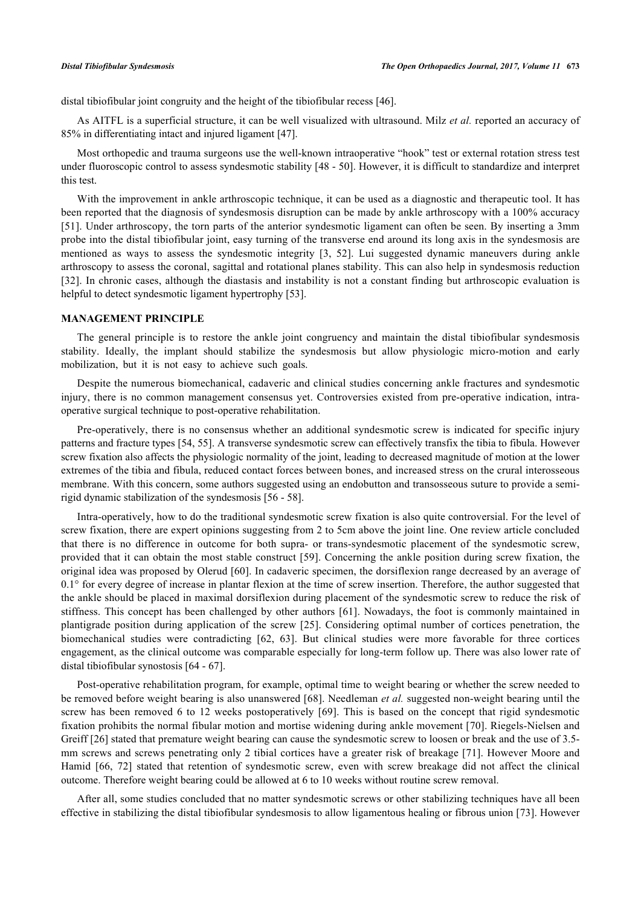distal tibiofibular joint congruity and the height of the tibiofibular recess [[46\]](#page-6-9).

As AITFL is a superficial structure, it can be well visualized with ultrasound. Milz *et al.* reported an accuracy of 85% in differentiating intact and injured ligament [[47\]](#page-6-10).

Most orthopedic and trauma surgeons use the well-known intraoperative "hook" test or external rotation stress test under fluoroscopic control to assess syndesmotic stability [[48](#page-6-11) - [50\]](#page-6-12). However, it is difficult to standardize and interpret this test.

With the improvement in ankle arthroscopic technique, it can be used as a diagnostic and therapeutic tool. It has been reported that the diagnosis of syndesmosis disruption can be made by ankle arthroscopy with a 100% accuracy [\[51](#page-6-13)]. Under arthroscopy, the torn parts of the anterior syndesmotic ligament can often be seen. By inserting a 3mm probe into the distal tibiofibular joint, easy turning of the transverse end around its long axis in the syndesmosis are mentioned as ways to assess the syndesmotic integrity [\[3](#page-4-2), [52\]](#page-6-14). Lui suggested dynamic maneuvers during ankle arthroscopy to assess the coronal, sagittal and rotational planes stability. This can also help in syndesmosis reduction [\[32](#page-5-18)]. In chronic cases, although the diastasis and instability is not a constant finding but arthroscopic evaluation is helpful to detect syndesmotic ligament hypertrophy [[53\]](#page-6-15).

### **MANAGEMENT PRINCIPLE**

The general principle is to restore the ankle joint congruency and maintain the distal tibiofibular syndesmosis stability. Ideally, the implant should stabilize the syndesmosis but allow physiologic micro-motion and early mobilization, but it is not easy to achieve such goals.

Despite the numerous biomechanical, cadaveric and clinical studies concerning ankle fractures and syndesmotic injury, there is no common management consensus yet. Controversies existed from pre-operative indication, intraoperative surgical technique to post-operative rehabilitation.

Pre-operatively, there is no consensus whether an additional syndesmotic screw is indicated for specific injury patterns and fracture types [[54,](#page-6-16) [55\]](#page-6-17). A transverse syndesmotic screw can effectively transfix the tibia to fibula. However screw fixation also affects the physiologic normality of the joint, leading to decreased magnitude of motion at the lower extremes of the tibia and fibula, reduced contact forces between bones, and increased stress on the crural interosseous membrane. With this concern, some authors suggested using an endobutton and transosseous suture to provide a semirigid dynamic stabilization of the syndesmosis [\[56](#page-6-18) - [58\]](#page-7-0).

Intra-operatively, how to do the traditional syndesmotic screw fixation is also quite controversial. For the level of screw fixation, there are expert opinions suggesting from 2 to 5cm above the joint line. One review article concluded that there is no difference in outcome for both supra- or trans-syndesmotic placement of the syndesmotic screw, provided that it can obtain the most stable construct [[59](#page-7-1)]. Concerning the ankle position during screw fixation, the original idea was proposed by Olerud [[60\]](#page-7-2). In cadaveric specimen, the dorsiflexion range decreased by an average of  $0.1^{\circ}$  for every degree of increase in plantar flexion at the time of screw insertion. Therefore, the author suggested that the ankle should be placed in maximal dorsiflexion during placement of the syndesmotic screw to reduce the risk of stiffness. This concept has been challenged by other authors [\[61\]](#page-7-3). Nowadays, the foot is commonly maintained in plantigrade position during application of the screw [\[25\]](#page-5-12). Considering optimal number of cortices penetration, the biomechanical studies were contradicting [\[62](#page-7-4), [63](#page-7-5)]. But clinical studies were more favorable for three cortices engagement, as the clinical outcome was comparable especially for long-term follow up. There was also lower rate of distal tibiofibular synostosis [\[64](#page-7-6) - [67\]](#page-7-7).

Post-operative rehabilitation program, for example, optimal time to weight bearing or whether the screw needed to be removed before weight bearing is also unanswered [[68\]](#page-7-8). Needleman *et al.* suggested non-weight bearing until the screw has been removed 6 to 12 weeks postoperatively [[69](#page-7-9)]. This is based on the concept that rigid syndesmotic fixation prohibits the normal fibular motion and mortise widening during ankle movement [[70\]](#page-7-10). Riegels-Nielsen and Greiff [\[26](#page-5-13)] stated that premature weight bearing can cause the syndesmotic screw to loosen or break and the use of 3.5mm screws and screws penetrating only 2 tibial cortices have a greater risk of breakage [[71](#page-7-11)]. However Moore and Hamid[[66](#page-7-12), [72](#page-7-13)] stated that retention of syndesmotic screw, even with screw breakage did not affect the clinical outcome. Therefore weight bearing could be allowed at 6 to 10 weeks without routine screw removal.

After all, some studies concluded that no matter syndesmotic screws or other stabilizing techniques have all been effective in stabilizing the distal tibiofibular syndesmosis to allow ligamentous healing or fibrous union [[73](#page-7-14)]. However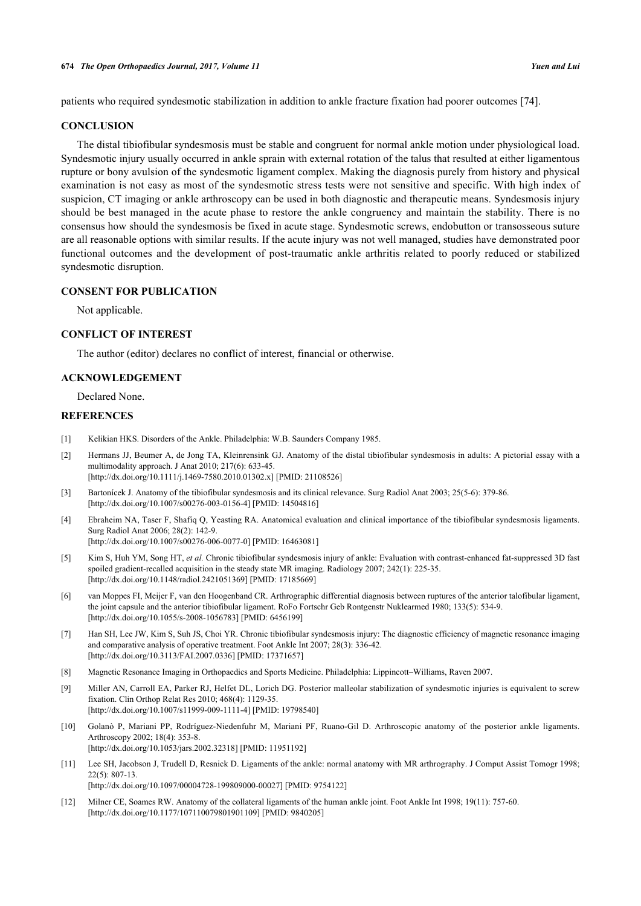patients who required syndesmotic stabilization in addition to ankle fracture fixation had poorer outcomes [[74\]](#page-7-15).

#### **CONCLUSION**

The distal tibiofibular syndesmosis must be stable and congruent for normal ankle motion under physiological load. Syndesmotic injury usually occurred in ankle sprain with external rotation of the talus that resulted at either ligamentous rupture or bony avulsion of the syndesmotic ligament complex. Making the diagnosis purely from history and physical examination is not easy as most of the syndesmotic stress tests were not sensitive and specific. With high index of suspicion, CT imaging or ankle arthroscopy can be used in both diagnostic and therapeutic means. Syndesmosis injury should be best managed in the acute phase to restore the ankle congruency and maintain the stability. There is no consensus how should the syndesmosis be fixed in acute stage. Syndesmotic screws, endobutton or transosseous suture are all reasonable options with similar results. If the acute injury was not well managed, studies have demonstrated poor functional outcomes and the development of post-traumatic ankle arthritis related to poorly reduced or stabilized syndesmotic disruption.

# **CONSENT FOR PUBLICATION**

Not applicable.

# **CONFLICT OF INTEREST**

The author (editor) declares no conflict of interest, financial or otherwise.

### **ACKNOWLEDGEMENT**

Declared None.

#### **REFERENCES**

- <span id="page-4-0"></span>[1] Kelikian HKS. Disorders of the Ankle. Philadelphia: W.B. Saunders Company 1985.
- <span id="page-4-1"></span>[2] Hermans JJ, Beumer A, de Jong TA, Kleinrensink GJ. Anatomy of the distal tibiofibular syndesmosis in adults: A pictorial essay with a multimodality approach. J Anat 2010; 217(6): 633-45. [\[http://dx.doi.org/10.1111/j.1469-7580.2010.01302.x\]](http://dx.doi.org/10.1111/j.1469-7580.2010.01302.x) [PMID: [21108526](http://www.ncbi.nlm.nih.gov/pubmed/21108526)]
- <span id="page-4-2"></span>[3] Bartonícek J. Anatomy of the tibiofibular syndesmosis and its clinical relevance. Surg Radiol Anat 2003; 25(5-6): 379-86. [\[http://dx.doi.org/10.1007/s00276-003-0156-4\]](http://dx.doi.org/10.1007/s00276-003-0156-4) [PMID: [14504816](http://www.ncbi.nlm.nih.gov/pubmed/14504816)]
- <span id="page-4-3"></span>[4] Ebraheim NA, Taser F, Shafiq Q, Yeasting RA. Anatomical evaluation and clinical importance of the tibiofibular syndesmosis ligaments. Surg Radiol Anat 2006; 28(2): 142-9. [\[http://dx.doi.org/10.1007/s00276-006-0077-0\]](http://dx.doi.org/10.1007/s00276-006-0077-0) [PMID: [16463081](http://www.ncbi.nlm.nih.gov/pubmed/16463081)]
- <span id="page-4-4"></span>[5] Kim S, Huh YM, Song HT, *et al.* Chronic tibiofibular syndesmosis injury of ankle: Evaluation with contrast-enhanced fat-suppressed 3D fast spoiled gradient-recalled acquisition in the steady state MR imaging. Radiology 2007; 242(1): 225-35. [\[http://dx.doi.org/10.1148/radiol.2421051369](http://dx.doi.org/10.1148/radiol.2421051369)] [PMID: [17185669](http://www.ncbi.nlm.nih.gov/pubmed/17185669)]
- <span id="page-4-5"></span>[6] van Moppes FI, Meijer F, van den Hoogenband CR. Arthrographic differential diagnosis between ruptures of the anterior talofibular ligament, the joint capsule and the anterior tibiofibular ligament. RoFo Fortschr Geb Rontgenstr Nuklearmed 1980; 133(5): 534-9. [\[http://dx.doi.org/10.1055/s-2008-1056783](http://dx.doi.org/10.1055/s-2008-1056783)] [PMID: [6456199\]](http://www.ncbi.nlm.nih.gov/pubmed/6456199)
- <span id="page-4-6"></span>[7] Han SH, Lee JW, Kim S, Suh JS, Choi YR. Chronic tibiofibular syndesmosis injury: The diagnostic efficiency of magnetic resonance imaging and comparative analysis of operative treatment. Foot Ankle Int 2007; 28(3): 336-42. [\[http://dx.doi.org/10.3113/FAI.2007.0336\]](http://dx.doi.org/10.3113/FAI.2007.0336) [PMID: [17371657](http://www.ncbi.nlm.nih.gov/pubmed/17371657)]
- <span id="page-4-7"></span>[8] Magnetic Resonance Imaging in Orthopaedics and Sports Medicine. Philadelphia: Lippincott–Williams, Raven 2007.
- <span id="page-4-8"></span>[9] Miller AN, Carroll EA, Parker RJ, Helfet DL, Lorich DG. Posterior malleolar stabilization of syndesmotic injuries is equivalent to screw fixation. Clin Orthop Relat Res 2010; 468(4): 1129-35. [\[http://dx.doi.org/10.1007/s11999-009-1111-4\]](http://dx.doi.org/10.1007/s11999-009-1111-4) [PMID: [19798540](http://www.ncbi.nlm.nih.gov/pubmed/19798540)]
- <span id="page-4-9"></span>[10] Golanò P, Mariani PP, Rodríguez-Niedenfuhr M, Mariani PF, Ruano-Gil D. Arthroscopic anatomy of the posterior ankle ligaments. Arthroscopy 2002; 18(4): 353-8. [\[http://dx.doi.org/10.1053/jars.2002.32318](http://dx.doi.org/10.1053/jars.2002.32318)] [PMID: [11951192\]](http://www.ncbi.nlm.nih.gov/pubmed/11951192)
- <span id="page-4-10"></span>[11] Lee SH, Jacobson J, Trudell D, Resnick D. Ligaments of the ankle: normal anatomy with MR arthrography. J Comput Assist Tomogr 1998; 22(5): 807-13. [\[http://dx.doi.org/10.1097/00004728-199809000-00027](http://dx.doi.org/10.1097/00004728-199809000-00027)] [PMID: [9754122\]](http://www.ncbi.nlm.nih.gov/pubmed/9754122)
- <span id="page-4-11"></span>[12] Milner CE, Soames RW. Anatomy of the collateral ligaments of the human ankle joint. Foot Ankle Int 1998; 19(11): 757-60. [\[http://dx.doi.org/10.1177/107110079801901109\]](http://dx.doi.org/10.1177/107110079801901109) [PMID: [9840205](http://www.ncbi.nlm.nih.gov/pubmed/9840205)]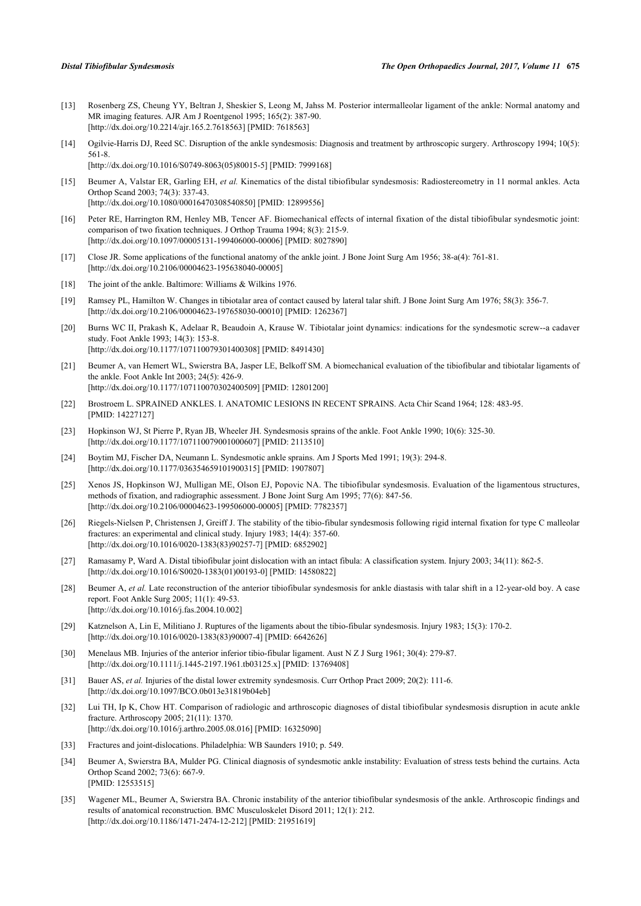- <span id="page-5-0"></span>[13] Rosenberg ZS, Cheung YY, Beltran J, Sheskier S, Leong M, Jahss M. Posterior intermalleolar ligament of the ankle: Normal anatomy and MR imaging features. AJR Am J Roentgenol 1995; 165(2): 387-90. [\[http://dx.doi.org/10.2214/ajr.165.2.7618563](http://dx.doi.org/10.2214/ajr.165.2.7618563)] [PMID: [7618563\]](http://www.ncbi.nlm.nih.gov/pubmed/7618563)
- <span id="page-5-1"></span>[14] Ogilvie-Harris DJ, Reed SC. Disruption of the ankle syndesmosis: Diagnosis and treatment by arthroscopic surgery. Arthroscopy 1994; 10(5): 561-8. [\[http://dx.doi.org/10.1016/S0749-8063\(05\)80015-5\]](http://dx.doi.org/10.1016/S0749-8063(05)80015-5) [PMID: [7999168](http://www.ncbi.nlm.nih.gov/pubmed/7999168)]
- <span id="page-5-2"></span>[15] Beumer A, Valstar ER, Garling EH, *et al.* Kinematics of the distal tibiofibular syndesmosis: Radiostereometry in 11 normal ankles. Acta Orthop Scand 2003; 74(3): 337-43. [\[http://dx.doi.org/10.1080/00016470308540850\]](http://dx.doi.org/10.1080/00016470308540850) [PMID: [12899556](http://www.ncbi.nlm.nih.gov/pubmed/12899556)]
- <span id="page-5-3"></span>[16] Peter RE, Harrington RM, Henley MB, Tencer AF. Biomechanical effects of internal fixation of the distal tibiofibular syndesmotic joint: comparison of two fixation techniques. J Orthop Trauma 1994; 8(3): 215-9. [\[http://dx.doi.org/10.1097/00005131-199406000-00006](http://dx.doi.org/10.1097/00005131-199406000-00006)] [PMID: [8027890\]](http://www.ncbi.nlm.nih.gov/pubmed/8027890)
- <span id="page-5-4"></span>[17] Close JR. Some applications of the functional anatomy of the ankle joint. J Bone Joint Surg Am 1956; 38-a(4): 761-81. [\[http://dx.doi.org/10.2106/00004623-195638040-00005](http://dx.doi.org/10.2106/00004623-195638040-00005)]
- <span id="page-5-5"></span>[18] The joint of the ankle. Baltimore: Williams & Wilkins 1976.
- <span id="page-5-6"></span>[19] Ramsey PL, Hamilton W. Changes in tibiotalar area of contact caused by lateral talar shift. J Bone Joint Surg Am 1976; 58(3): 356-7. [\[http://dx.doi.org/10.2106/00004623-197658030-00010](http://dx.doi.org/10.2106/00004623-197658030-00010)] [PMID: [1262367\]](http://www.ncbi.nlm.nih.gov/pubmed/1262367)
- <span id="page-5-7"></span>[20] Burns WC II, Prakash K, Adelaar R, Beaudoin A, Krause W. Tibiotalar joint dynamics: indications for the syndesmotic screw--a cadaver study. Foot Ankle 1993; 14(3): 153-8. [\[http://dx.doi.org/10.1177/107110079301400308\]](http://dx.doi.org/10.1177/107110079301400308) [PMID: [8491430](http://www.ncbi.nlm.nih.gov/pubmed/8491430)]
- <span id="page-5-8"></span>[21] Beumer A, van Hemert WL, Swierstra BA, Jasper LE, Belkoff SM. A biomechanical evaluation of the tibiofibular and tibiotalar ligaments of the ankle. Foot Ankle Int 2003; 24(5): 426-9. [\[http://dx.doi.org/10.1177/107110070302400509\]](http://dx.doi.org/10.1177/107110070302400509) [PMID: [12801200](http://www.ncbi.nlm.nih.gov/pubmed/12801200)]
- <span id="page-5-9"></span>[22] Brostroem L. SPRAINED ANKLES. I. ANATOMIC LESIONS IN RECENT SPRAINS. Acta Chir Scand 1964; 128: 483-95. [PMID: [14227127\]](http://www.ncbi.nlm.nih.gov/pubmed/14227127)
- <span id="page-5-10"></span>[23] Hopkinson WJ, St Pierre P, Ryan JB, Wheeler JH. Syndesmosis sprains of the ankle. Foot Ankle 1990; 10(6): 325-30. [\[http://dx.doi.org/10.1177/107110079001000607\]](http://dx.doi.org/10.1177/107110079001000607) [PMID: [2113510](http://www.ncbi.nlm.nih.gov/pubmed/2113510)]
- <span id="page-5-11"></span>[24] Boytim MJ, Fischer DA, Neumann L. Syndesmotic ankle sprains. Am J Sports Med 1991; 19(3): 294-8. [\[http://dx.doi.org/10.1177/036354659101900315\]](http://dx.doi.org/10.1177/036354659101900315) [PMID: [1907807](http://www.ncbi.nlm.nih.gov/pubmed/1907807)]
- <span id="page-5-12"></span>[25] Xenos JS, Hopkinson WJ, Mulligan ME, Olson EJ, Popovic NA. The tibiofibular syndesmosis. Evaluation of the ligamentous structures, methods of fixation, and radiographic assessment. J Bone Joint Surg Am 1995; 77(6): 847-56. [\[http://dx.doi.org/10.2106/00004623-199506000-00005](http://dx.doi.org/10.2106/00004623-199506000-00005)] [PMID: [7782357\]](http://www.ncbi.nlm.nih.gov/pubmed/7782357)
- <span id="page-5-13"></span>[26] Riegels-Nielsen P, Christensen J, Greiff J. The stability of the tibio-fibular syndesmosis following rigid internal fixation for type C malleolar fractures: an experimental and clinical study. Injury 1983; 14(4): 357-60. [\[http://dx.doi.org/10.1016/0020-1383\(83\)90257-7](http://dx.doi.org/10.1016/0020-1383(83)90257-7)] [PMID: [6852902](http://www.ncbi.nlm.nih.gov/pubmed/6852902)]
- <span id="page-5-14"></span>[27] Ramasamy P, Ward A. Distal tibiofibular joint dislocation with an intact fibula: A classification system. Injury 2003; 34(11): 862-5. [\[http://dx.doi.org/10.1016/S0020-1383\(01\)00193-0\]](http://dx.doi.org/10.1016/S0020-1383(01)00193-0) [PMID: [14580822](http://www.ncbi.nlm.nih.gov/pubmed/14580822)]
- <span id="page-5-15"></span>[28] Beumer A, et al. Late reconstruction of the anterior tibiofibular syndesmosis for ankle diastasis with talar shift in a 12-year-old boy. A case report. Foot Ankle Surg 2005; 11(1): 49-53. [\[http://dx.doi.org/10.1016/j.fas.2004.10.002](http://dx.doi.org/10.1016/j.fas.2004.10.002)]
- [29] Katznelson A, Lin E, Militiano J. Ruptures of the ligaments about the tibio-fibular syndesmosis. Injury 1983; 15(3): 170-2. [\[http://dx.doi.org/10.1016/0020-1383\(83\)90007-4](http://dx.doi.org/10.1016/0020-1383(83)90007-4)] [PMID: [6642626](http://www.ncbi.nlm.nih.gov/pubmed/6642626)]
- <span id="page-5-16"></span>[30] Menelaus MB. Injuries of the anterior inferior tibio-fibular ligament. Aust N Z J Surg 1961; 30(4): 279-87. [\[http://dx.doi.org/10.1111/j.1445-2197.1961.tb03125.x\]](http://dx.doi.org/10.1111/j.1445-2197.1961.tb03125.x) [PMID: [13769408](http://www.ncbi.nlm.nih.gov/pubmed/13769408)]
- <span id="page-5-17"></span>[31] Bauer AS, *et al.* Injuries of the distal lower extremity syndesmosis. Curr Orthop Pract 2009; 20(2): 111-6. [\[http://dx.doi.org/10.1097/BCO.0b013e31819b04eb](http://dx.doi.org/10.1097/BCO.0b013e31819b04eb)]
- <span id="page-5-18"></span>[32] Lui TH, Ip K, Chow HT. Comparison of radiologic and arthroscopic diagnoses of distal tibiofibular syndesmosis disruption in acute ankle fracture. Arthroscopy 2005; 21(11): 1370. [\[http://dx.doi.org/10.1016/j.arthro.2005.08.016](http://dx.doi.org/10.1016/j.arthro.2005.08.016)] [PMID: [16325090\]](http://www.ncbi.nlm.nih.gov/pubmed/16325090)
- <span id="page-5-19"></span>[33] Fractures and joint-dislocations. Philadelphia: WB Saunders 1910; p. 549.
- <span id="page-5-20"></span>[34] Beumer A, Swierstra BA, Mulder PG. Clinical diagnosis of syndesmotic ankle instability: Evaluation of stress tests behind the curtains. Acta Orthop Scand 2002; 73(6): 667-9. [PMID: [12553515\]](http://www.ncbi.nlm.nih.gov/pubmed/12553515)
- <span id="page-5-21"></span>[35] Wagener ML, Beumer A, Swierstra BA. Chronic instability of the anterior tibiofibular syndesmosis of the ankle. Arthroscopic findings and results of anatomical reconstruction. BMC Musculoskelet Disord 2011; 12(1): 212. [\[http://dx.doi.org/10.1186/1471-2474-12-212\]](http://dx.doi.org/10.1186/1471-2474-12-212) [PMID: [21951619](http://www.ncbi.nlm.nih.gov/pubmed/21951619)]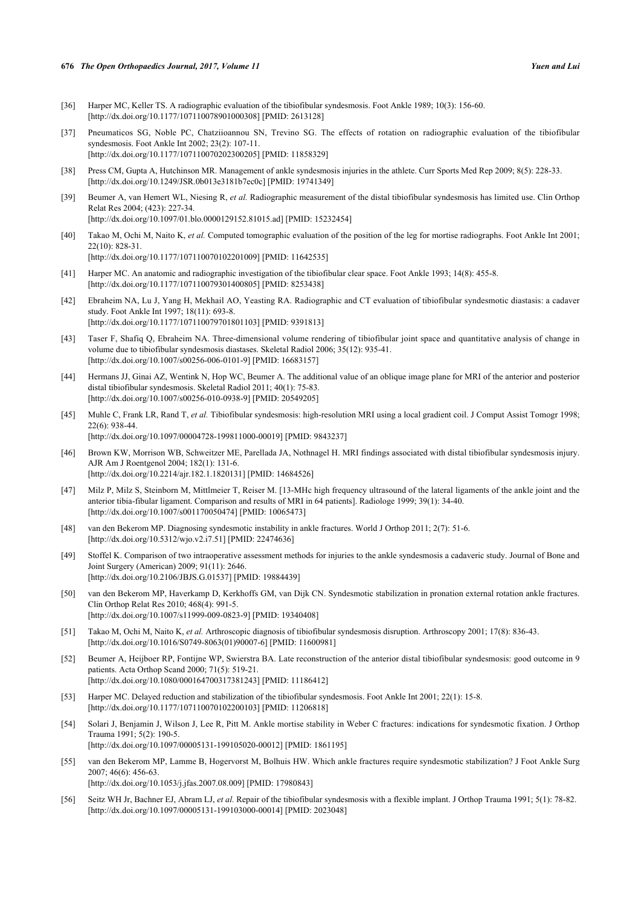#### **676** *The Open Orthopaedics Journal, 2017, Volume 11 Yuen and Lui*

- <span id="page-6-0"></span>[36] Harper MC, Keller TS. A radiographic evaluation of the tibiofibular syndesmosis. Foot Ankle 1989; 10(3): 156-60. [\[http://dx.doi.org/10.1177/107110078901000308\]](http://dx.doi.org/10.1177/107110078901000308) [PMID: [2613128](http://www.ncbi.nlm.nih.gov/pubmed/2613128)]
- [37] Pneumaticos SG, Noble PC, Chatziioannou SN, Trevino SG. The effects of rotation on radiographic evaluation of the tibiofibular syndesmosis. Foot Ankle Int 2002; 23(2): 107-11. [\[http://dx.doi.org/10.1177/107110070202300205\]](http://dx.doi.org/10.1177/107110070202300205) [PMID: [11858329](http://www.ncbi.nlm.nih.gov/pubmed/11858329)]
- <span id="page-6-1"></span>[38] Press CM, Gupta A, Hutchinson MR. Management of ankle syndesmosis injuries in the athlete. Curr Sports Med Rep 2009; 8(5): 228-33. [\[http://dx.doi.org/10.1249/JSR.0b013e3181b7ec0c\]](http://dx.doi.org/10.1249/JSR.0b013e3181b7ec0c) [PMID: [19741349](http://www.ncbi.nlm.nih.gov/pubmed/19741349)]
- <span id="page-6-2"></span>[39] Beumer A, van Hemert WL, Niesing R, *et al.* Radiographic measurement of the distal tibiofibular syndesmosis has limited use. Clin Orthop Relat Res 2004; (423): 227-34. [\[http://dx.doi.org/10.1097/01.blo.0000129152.81015.ad\]](http://dx.doi.org/10.1097/01.blo.0000129152.81015.ad) [PMID: [15232454](http://www.ncbi.nlm.nih.gov/pubmed/15232454)]
- <span id="page-6-3"></span>[40] Takao M, Ochi M, Naito K, *et al.* Computed tomographic evaluation of the position of the leg for mortise radiographs. Foot Ankle Int 2001; 22(10): 828-31. [\[http://dx.doi.org/10.1177/107110070102201009\]](http://dx.doi.org/10.1177/107110070102201009) [PMID: [11642535](http://www.ncbi.nlm.nih.gov/pubmed/11642535)]
- <span id="page-6-4"></span>[41] Harper MC. An anatomic and radiographic investigation of the tibiofibular clear space. Foot Ankle 1993; 14(8): 455-8. [\[http://dx.doi.org/10.1177/107110079301400805\]](http://dx.doi.org/10.1177/107110079301400805) [PMID: [8253438](http://www.ncbi.nlm.nih.gov/pubmed/8253438)]
- <span id="page-6-5"></span>[42] Ebraheim NA, Lu J, Yang H, Mekhail AO, Yeasting RA. Radiographic and CT evaluation of tibiofibular syndesmotic diastasis: a cadaver study. Foot Ankle Int 1997; 18(11): 693-8. [\[http://dx.doi.org/10.1177/107110079701801103\]](http://dx.doi.org/10.1177/107110079701801103) [PMID: [9391813](http://www.ncbi.nlm.nih.gov/pubmed/9391813)]
- <span id="page-6-6"></span>[43] Taser F, Shafiq Q, Ebraheim NA. Three-dimensional volume rendering of tibiofibular joint space and quantitative analysis of change in volume due to tibiofibular syndesmosis diastases. Skeletal Radiol 2006; 35(12): 935-41. [\[http://dx.doi.org/10.1007/s00256-006-0101-9\]](http://dx.doi.org/10.1007/s00256-006-0101-9) [PMID: [16683157](http://www.ncbi.nlm.nih.gov/pubmed/16683157)]
- <span id="page-6-7"></span>[44] Hermans JJ, Ginai AZ, Wentink N, Hop WC, Beumer A. The additional value of an oblique image plane for MRI of the anterior and posterior distal tibiofibular syndesmosis. Skeletal Radiol 2011; 40(1): 75-83. [\[http://dx.doi.org/10.1007/s00256-010-0938-9\]](http://dx.doi.org/10.1007/s00256-010-0938-9) [PMID: [20549205](http://www.ncbi.nlm.nih.gov/pubmed/20549205)]
- <span id="page-6-8"></span>[45] Muhle C, Frank LR, Rand T, *et al.* Tibiofibular syndesmosis: high-resolution MRI using a local gradient coil. J Comput Assist Tomogr 1998; 22(6): 938-44. [\[http://dx.doi.org/10.1097/00004728-199811000-00019](http://dx.doi.org/10.1097/00004728-199811000-00019)] [PMID: [9843237\]](http://www.ncbi.nlm.nih.gov/pubmed/9843237)
- <span id="page-6-9"></span>[46] Brown KW, Morrison WB, Schweitzer ME, Parellada JA, Nothnagel H. MRI findings associated with distal tibiofibular syndesmosis injury. AJR Am J Roentgenol 2004; 182(1): 131-6. [\[http://dx.doi.org/10.2214/ajr.182.1.1820131](http://dx.doi.org/10.2214/ajr.182.1.1820131)] [PMID: [14684526\]](http://www.ncbi.nlm.nih.gov/pubmed/14684526)
- <span id="page-6-10"></span>[47] Milz P, Milz S, Steinborn M, Mittlmeier T, Reiser M. [13-MHc high frequency ultrasound of the lateral ligaments of the ankle joint and the anterior tibia-fibular ligament. Comparison and results of MRI in 64 patients]. Radiologe 1999; 39(1): 34-40. [\[http://dx.doi.org/10.1007/s001170050474\]](http://dx.doi.org/10.1007/s001170050474) [PMID: [10065473](http://www.ncbi.nlm.nih.gov/pubmed/10065473)]
- <span id="page-6-11"></span>[48] van den Bekerom MP. Diagnosing syndesmotic instability in ankle fractures. World J Orthop 2011; 2(7): 51-6. [\[http://dx.doi.org/10.5312/wjo.v2.i7.51](http://dx.doi.org/10.5312/wjo.v2.i7.51)] [PMID: [22474636\]](http://www.ncbi.nlm.nih.gov/pubmed/22474636)
- [49] Stoffel K. Comparison of two intraoperative assessment methods for injuries to the ankle syndesmosis a cadaveric study. Journal of Bone and Joint Surgery (American) 2009; 91(11): 2646. [\[http://dx.doi.org/10.2106/JBJS.G.01537\]](http://dx.doi.org/10.2106/JBJS.G.01537) [PMID: [19884439](http://www.ncbi.nlm.nih.gov/pubmed/19884439)]
- <span id="page-6-12"></span>[50] van den Bekerom MP, Haverkamp D, Kerkhoffs GM, van Dijk CN. Syndesmotic stabilization in pronation external rotation ankle fractures. Clin Orthop Relat Res 2010; 468(4): 991-5. [\[http://dx.doi.org/10.1007/s11999-009-0823-9\]](http://dx.doi.org/10.1007/s11999-009-0823-9) [PMID: [19340408](http://www.ncbi.nlm.nih.gov/pubmed/19340408)]
- <span id="page-6-13"></span>[51] Takao M, Ochi M, Naito K, *et al.* Arthroscopic diagnosis of tibiofibular syndesmosis disruption. Arthroscopy 2001; 17(8): 836-43. [\[http://dx.doi.org/10.1016/S0749-8063\(01\)90007-6\]](http://dx.doi.org/10.1016/S0749-8063(01)90007-6) [PMID: [11600981](http://www.ncbi.nlm.nih.gov/pubmed/11600981)]
- <span id="page-6-14"></span>[52] Beumer A, Heijboer RP, Fontijne WP, Swierstra BA. Late reconstruction of the anterior distal tibiofibular syndesmosis: good outcome in 9 patients. Acta Orthop Scand 2000; 71(5): 519-21. [\[http://dx.doi.org/10.1080/000164700317381243\]](http://dx.doi.org/10.1080/000164700317381243) [PMID: [11186412](http://www.ncbi.nlm.nih.gov/pubmed/11186412)]
- <span id="page-6-15"></span>[53] Harper MC. Delayed reduction and stabilization of the tibiofibular syndesmosis. Foot Ankle Int 2001; 22(1): 15-8. [\[http://dx.doi.org/10.1177/107110070102200103\]](http://dx.doi.org/10.1177/107110070102200103) [PMID: [11206818](http://www.ncbi.nlm.nih.gov/pubmed/11206818)]
- <span id="page-6-16"></span>[54] Solari J, Benjamin J, Wilson J, Lee R, Pitt M. Ankle mortise stability in Weber C fractures: indications for syndesmotic fixation. J Orthop Trauma 1991; 5(2): 190-5. [\[http://dx.doi.org/10.1097/00005131-199105020-00012](http://dx.doi.org/10.1097/00005131-199105020-00012)] [PMID: [1861195\]](http://www.ncbi.nlm.nih.gov/pubmed/1861195)
- <span id="page-6-17"></span>[55] van den Bekerom MP, Lamme B, Hogervorst M, Bolhuis HW. Which ankle fractures require syndesmotic stabilization? J Foot Ankle Surg 2007; 46(6): 456-63. [\[http://dx.doi.org/10.1053/j.jfas.2007.08.009\]](http://dx.doi.org/10.1053/j.jfas.2007.08.009) [PMID: [17980843](http://www.ncbi.nlm.nih.gov/pubmed/17980843)]
- <span id="page-6-18"></span>[56] Seitz WH Jr, Bachner EJ, Abram LJ, *et al.* Repair of the tibiofibular syndesmosis with a flexible implant. J Orthop Trauma 1991; 5(1): 78-82. [\[http://dx.doi.org/10.1097/00005131-199103000-00014](http://dx.doi.org/10.1097/00005131-199103000-00014)] [PMID: [2023048\]](http://www.ncbi.nlm.nih.gov/pubmed/2023048)